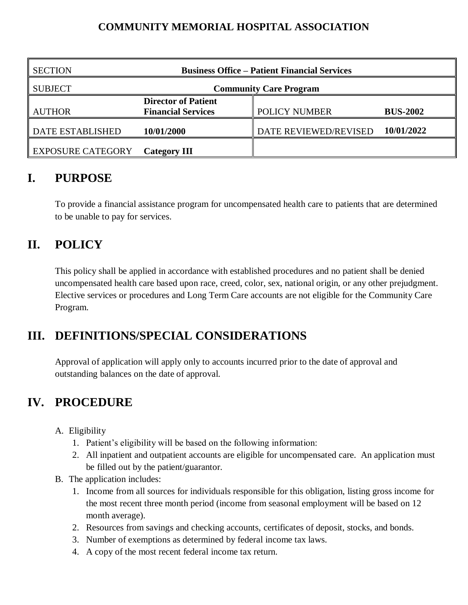#### **COMMUNITY MEMORIAL HOSPITAL ASSOCIATION**

| <b>SECTION</b>    | <b>Business Office – Patient Financial Services</b> |                       |                 |
|-------------------|-----------------------------------------------------|-----------------------|-----------------|
| <b>SUBJECT</b>    | <b>Community Care Program</b>                       |                       |                 |
|                   | <b>Director of Patient</b>                          |                       |                 |
| <b>AUTHOR</b>     | <b>Financial Services</b>                           | POLICY NUMBER         | <b>BUS-2002</b> |
| DATE ESTABLISHED  | 10/01/2000                                          | DATE REVIEWED/REVISED | 10/01/2022      |
| EXPOSURE CATEGORY | <b>Category III</b>                                 |                       |                 |

#### **I. PURPOSE**

To provide a financial assistance program for uncompensated health care to patients that are determined to be unable to pay for services.

# **II. POLICY**

This policy shall be applied in accordance with established procedures and no patient shall be denied uncompensated health care based upon race, creed, color, sex, national origin, or any other prejudgment. Elective services or procedures and Long Term Care accounts are not eligible for the Community Care Program.

### **III. DEFINITIONS/SPECIAL CONSIDERATIONS**

Approval of application will apply only to accounts incurred prior to the date of approval and outstanding balances on the date of approval.

### **IV. PROCEDURE**

- A. Eligibility
	- 1. Patient's eligibility will be based on the following information:
	- 2. All inpatient and outpatient accounts are eligible for uncompensated care. An application must be filled out by the patient/guarantor.
- B. The application includes:
	- 1. Income from all sources for individuals responsible for this obligation, listing gross income for the most recent three month period (income from seasonal employment will be based on 12 month average).
	- 2. Resources from savings and checking accounts, certificates of deposit, stocks, and bonds.
	- 3. Number of exemptions as determined by federal income tax laws.
	- 4. A copy of the most recent federal income tax return.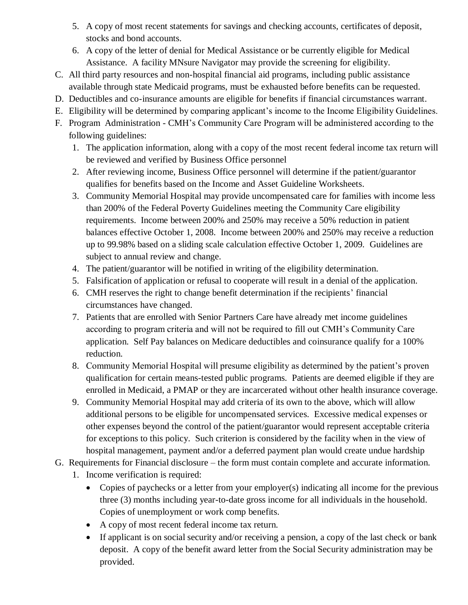- 5. A copy of most recent statements for savings and checking accounts, certificates of deposit, stocks and bond accounts.
- 6. A copy of the letter of denial for Medical Assistance or be currently eligible for Medical Assistance. A facility MNsure Navigator may provide the screening for eligibility.
- C. All third party resources and non-hospital financial aid programs, including public assistance available through state Medicaid programs, must be exhausted before benefits can be requested.
- D. Deductibles and co-insurance amounts are eligible for benefits if financial circumstances warrant.
- E. Eligibility will be determined by comparing applicant's income to the Income Eligibility Guidelines.
- F. Program Administration CMH's Community Care Program will be administered according to the following guidelines:
	- 1. The application information, along with a copy of the most recent federal income tax return will be reviewed and verified by Business Office personnel
	- 2. After reviewing income, Business Office personnel will determine if the patient/guarantor qualifies for benefits based on the Income and Asset Guideline Worksheets.
	- 3. Community Memorial Hospital may provide uncompensated care for families with income less than 200% of the Federal Poverty Guidelines meeting the Community Care eligibility requirements. Income between 200% and 250% may receive a 50% reduction in patient balances effective October 1, 2008. Income between 200% and 250% may receive a reduction up to 99.98% based on a sliding scale calculation effective October 1, 2009. Guidelines are subject to annual review and change.
	- 4. The patient/guarantor will be notified in writing of the eligibility determination.
	- 5. Falsification of application or refusal to cooperate will result in a denial of the application.
	- 6. CMH reserves the right to change benefit determination if the recipients' financial circumstances have changed.
	- 7. Patients that are enrolled with Senior Partners Care have already met income guidelines according to program criteria and will not be required to fill out CMH's Community Care application. Self Pay balances on Medicare deductibles and coinsurance qualify for a 100% reduction.
	- 8. Community Memorial Hospital will presume eligibility as determined by the patient's proven qualification for certain means-tested public programs. Patients are deemed eligible if they are enrolled in Medicaid, a PMAP or they are incarcerated without other health insurance coverage.
	- 9. Community Memorial Hospital may add criteria of its own to the above, which will allow additional persons to be eligible for uncompensated services. Excessive medical expenses or other expenses beyond the control of the patient/guarantor would represent acceptable criteria for exceptions to this policy. Such criterion is considered by the facility when in the view of hospital management, payment and/or a deferred payment plan would create undue hardship
- G. Requirements for Financial disclosure the form must contain complete and accurate information.
	- 1. Income verification is required:
		- Copies of paychecks or a letter from your employer(s) indicating all income for the previous three (3) months including year-to-date gross income for all individuals in the household. Copies of unemployment or work comp benefits.
		- A copy of most recent federal income tax return.
		- If applicant is on social security and/or receiving a pension, a copy of the last check or bank deposit. A copy of the benefit award letter from the Social Security administration may be provided.